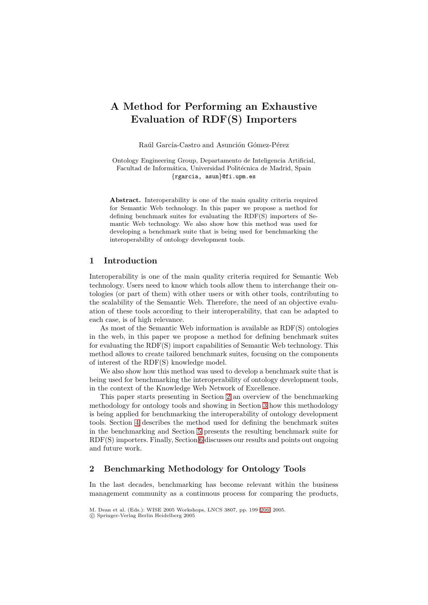# **A Method for Performing an Exhaustive Evaluation of RDF(S) Importers**

Raúl García-Castro and Asunción Gómez-Pérez

Ontology Engineering Group, Departamento de Inteligencia Artificial, Facultad de Informática, Universidad Politécnica de Madrid, Spain {rgarcia, asun}@fi.upm.es

**Abstract.** Interoperability is one of the main quality criteria required for Semantic Web technology. In this paper we propose a method for defining benchmark suites for evaluating the RDF(S) importers of Semantic Web technology. We also show how this method was used for developing a benchmark suite that is being used for benchmarking the interoperability of ontology development tools.

### **1 Introduction**

Interoperability is one of the main quality criteria required for Semantic Web technology. Users need to know which tools allow them to interchange their ontologies (or part of them) with other users or with other tools, contributing to the scalability of the Semantic Web. Therefore, the need of an objective evaluation of these tools according to their interoperability, that can be adapted to each case, is of high relevance.

As most of the Semantic Web information is available as RDF(S) ontologies in the web, in this paper we propose a method for defining benchmark suites for evaluating the RDF(S) import capabilities of Semantic Web technology. This method allows to create tailored benchmark suites, focusing on the components of interest of the RDF(S) knowledge model.

We also show how this method was used to develop a benchmark suite that is being used for benchmarking the interoperability of ontology development tools, in the context of the Knowledge Web Network of Excellence.

This paper starts presenting in Section [2](#page-0-0) an overview of the benchmarking methodology for ontology tools and showing in Section [3](#page-2-0) how this methodology is being applied for benchmarking the interoperability of ontology development tools. Section [4](#page-2-1) describes the method used for defining the benchmark suites in the benchmarking and Section [5](#page-3-0) presents the resulting benchmark suite for RDF(S) importers. Finally, Section [6](#page-6-0) discusses our results and points out ongoing and future work.

# <span id="page-0-0"></span>**2 Benchmarking Methodology for Ontology Tools**

In the last decades, benchmarking has become relevant within the business management community as a continuous process for comparing the products,

M. Dean et al. (Eds.): WISE 2005 Workshops, LNCS 3807, pp. 199[–206,](#page-7-0) 2005.

c Springer-Verlag Berlin Heidelberg 2005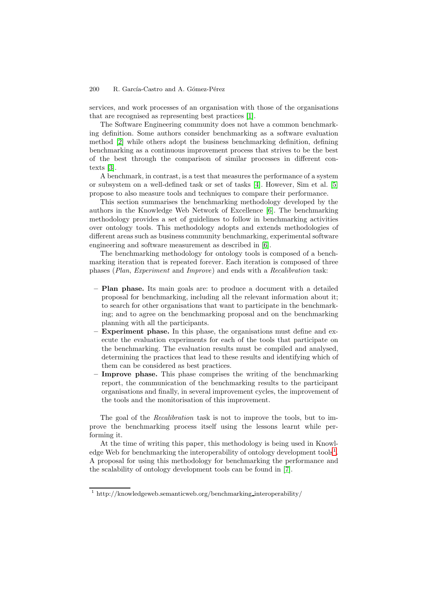services, and work processes of an organisation with those of the organisations that are recognised as representing best practices [\[1\]](#page-7-1).

The Software Engineering community does not have a common benchmarking definition. Some authors consider benchmarking as a software evaluation method [\[2\]](#page-7-2) while others adopt the business benchmarking definition, defining benchmarking as a continuous improvement process that strives to be the best of the best through the comparison of similar processes in different contexts [\[3\]](#page-7-3).

A benchmark, in contrast, is a test that measures the performance of a system or subsystem on a well-defined task or set of tasks [\[4\]](#page-7-4). However, Sim et al. [\[5\]](#page-7-5) propose to also measure tools and techniques to compare their performance.

This section summarises the benchmarking methodology developed by the authors in the Knowledge Web Network of Excellence [\[6\]](#page-7-6). The benchmarking methodology provides a set of guidelines to follow in benchmarking activities over ontology tools. This methodology adopts and extends methodologies of different areas such as business community benchmarking, experimental software engineering and software measurement as described in [\[6\]](#page-7-6).

The benchmarking methodology for ontology tools is composed of a benchmarking iteration that is repeated forever. Each iteration is composed of three phases (Plan, Experiment and Improve) and ends with a Recalibration task:

- **Plan phase.** Its main goals are: to produce a document with a detailed proposal for benchmarking, including all the relevant information about it; to search for other organisations that want to participate in the benchmarking; and to agree on the benchmarking proposal and on the benchmarking planning with all the participants.
- **Experiment phase.** In this phase, the organisations must define and execute the evaluation experiments for each of the tools that participate on the benchmarking. The evaluation results must be compiled and analysed, determining the practices that lead to these results and identifying which of them can be considered as best practices.
- **Improve phase.** This phase comprises the writing of the benchmarking report, the communication of the benchmarking results to the participant organisations and finally, in several improvement cycles, the improvement of the tools and the monitorisation of this improvement.

The goal of the Recalibration task is not to improve the tools, but to improve the benchmarking process itself using the lessons learnt while performing it.

At the time of writing this paper, this methodology is being used in Knowl-edge Web for benchmarking the interoperability of ontology development tools<sup>[1](#page-1-0)</sup>. A proposal for using this methodology for benchmarking the performance and the scalability of ontology development tools can be found in [\[7\]](#page-7-7).

<span id="page-1-0"></span> $1 \text{ http://knowledgeweb.semanticweb.org/benchmarking_interestability/$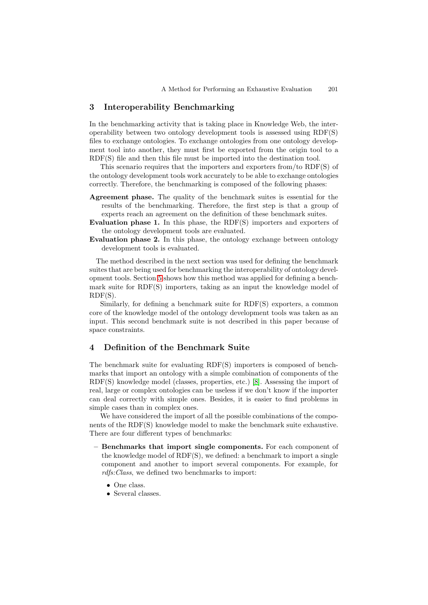# <span id="page-2-0"></span>**3 Interoperability Benchmarking**

In the benchmarking activity that is taking place in Knowledge Web, the interoperability between two ontology development tools is assessed using RDF(S) files to exchange ontologies. To exchange ontologies from one ontology development tool into another, they must first be exported from the origin tool to a RDF(S) file and then this file must be imported into the destination tool.

This scenario requires that the importers and exporters from/to RDF(S) of the ontology development tools work accurately to be able to exchange ontologies correctly. Therefore, the benchmarking is composed of the following phases:

- **Agreement phase.** The quality of the benchmark suites is essential for the results of the benchmarking. Therefore, the first step is that a group of experts reach an agreement on the definition of these benchmark suites.
- **Evaluation phase 1.** In this phase, the RDF(S) importers and exporters of the ontology development tools are evaluated.
- **Evaluation phase 2.** In this phase, the ontology exchange between ontology development tools is evaluated.

The method described in the next section was used for defining the benchmark suites that are being used for benchmarking the interoperability of ontology development tools. Section [5](#page-3-0) shows how this method was applied for defining a benchmark suite for RDF(S) importers, taking as an input the knowledge model of RDF(S).

Similarly, for defining a benchmark suite for RDF(S) exporters, a common core of the knowledge model of the ontology development tools was taken as an input. This second benchmark suite is not described in this paper because of space constraints.

### <span id="page-2-1"></span>**4 Definition of the Benchmark Suite**

The benchmark suite for evaluating RDF(S) importers is composed of benchmarks that import an ontology with a simple combination of components of the RDF(S) knowledge model (classes, properties, etc.) [\[8\]](#page-7-8). Assessing the import of real, large or complex ontologies can be useless if we don't know if the importer can deal correctly with simple ones. Besides, it is easier to find problems in simple cases than in complex ones.

We have considered the import of all the possible combinations of the components of the RDF(S) knowledge model to make the benchmark suite exhaustive. There are four different types of benchmarks:

- **Benchmarks that import single components.** For each component of the knowledge model of RDF(S), we defined: a benchmark to import a single component and another to import several components. For example, for rdfs:Class, we defined two benchmarks to import:
	- One class.
	- Several classes.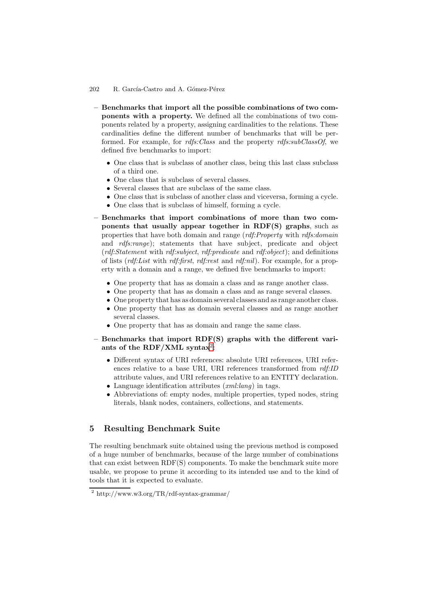- **Benchmarks that import all the possible combinations of two components with a property.** We defined all the combinations of two components related by a property, assigning cardinalities to the relations. These cardinalities define the different number of benchmarks that will be performed. For example, for rdfs:Class and the property rdfs:subClassOf, we defined five benchmarks to import:
	- One class that is subclass of another class, being this last class subclass of a third one.
	- One class that is subclass of several classes.
	- Several classes that are subclass of the same class.
	- One class that is subclass of another class and viceversa, forming a cycle.
	- One class that is subclass of himself, forming a cycle.
- **Benchmarks that import combinations of more than two components that usually appear together in RDF(S) graphs**, such as properties that have both domain and range (rdf:Property with rdfs:domain and rdfs:range); statements that have subject, predicate and object (rdf:Statement with rdf:subject, rdf:predicate and rdf:object); and definitions of lists (rdf:List with rdf:first, rdf:rest and rdf:nil). For example, for a property with a domain and a range, we defined five benchmarks to import:
	- One property that has as domain a class and as range another class.
	- One property that has as domain a class and as range several classes.
	- One property that has as domain several classes and as range another class.
	- One property that has as domain several classes and as range another several classes.
	- One property that has as domain and range the same class.
- **Benchmarks that import RDF(S) graphs with the different variants of the RDF/XML syntax**[2](#page-3-1):
	- Different syntax of URI references: absolute URI references, URI references relative to a base URI, URI references transformed from rdf:ID attribute values, and URI references relative to an ENTITY declaration.
	- Language identification attributes  $(xml:lang)$  in tags.
	- Abbreviations of: empty nodes, multiple properties, typed nodes, string literals, blank nodes, containers, collections, and statements.

# <span id="page-3-0"></span>**5 Resulting Benchmark Suite**

The resulting benchmark suite obtained using the previous method is composed of a huge number of benchmarks, because of the large number of combinations that can exist between RDF(S) components. To make the benchmark suite more usable, we propose to prune it according to its intended use and to the kind of tools that it is expected to evaluate.

<span id="page-3-1"></span> $\frac{2 \text{ http://www.w3.org/TR/rdf-svntax-grammar/}}{2}$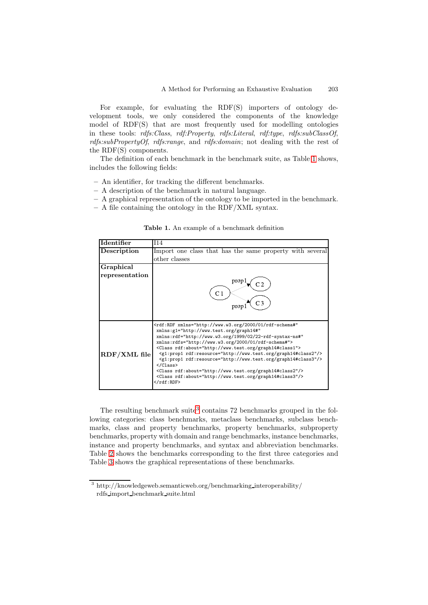For example, for evaluating the RDF(S) importers of ontology development tools, we only considered the components of the knowledge model of RDF(S) that are most frequently used for modelling ontologies in these tools: rdfs:Class, rdf:Property, rdfs:Literal, rdf:type, rdfs:subClassOf, rdfs:subPropertyOf, rdfs:range, and rdfs:domain; not dealing with the rest of the RDF(S) components.

The definition of each benchmark in the benchmark suite, as Table [1](#page-4-0) shows, includes the following fields:

- **–** An identifier, for tracking the different benchmarks.
- **–** A description of the benchmark in natural language.
- **–** A graphical representation of the ontology to be imported in the benchmark.
- **–** A file containing the ontology in the RDF/XML syntax.

| Identifier     | I14                                                                                                                   |
|----------------|-----------------------------------------------------------------------------------------------------------------------|
| Description    | Import one class that has the same property with several                                                              |
|                | other classes                                                                                                         |
| Graphical      |                                                                                                                       |
| representation |                                                                                                                       |
|                | prop                                                                                                                  |
|                |                                                                                                                       |
|                |                                                                                                                       |
|                | prop                                                                                                                  |
|                |                                                                                                                       |
|                | <rdf:rdf <="" th="" xmlns="http://www.w3.org/2000/01/rdf-schema#"></rdf:rdf>                                          |
|                | xmlns:g1="http://www.test.org/graph14#"                                                                               |
|                | xmlns:rdf="http://www.w3.org/1999/02/22-rdf-syntax-ns#"                                                               |
|                | xmlns:rdfs="http://www.w3.org/2000/01/rdf-schema#"><br><class rdf:about="http://www.test.org/graph14#class1"></class> |
| RDF/XML file   | <g1:prop1 rdf:resource="http://www.test.org/graph14#class2"></g1:prop1>                                               |
|                | <g1:prop1 rdf:resource="http://www.test.org/graph14#class3"></g1:prop1>                                               |
|                | $\langle$ /Class><br><class rdf:about="http://www.test.org/graph14#class2"></class>                                   |
|                | <class rdf:about="http://www.test.org/graph14#class3"></class>                                                        |
|                | $\langle \text{rdf:RDF} \rangle$                                                                                      |
|                |                                                                                                                       |

<span id="page-4-0"></span>**Table 1.** An example of a benchmark definition

The resulting benchmark suite<sup>[3](#page-4-1)</sup> contains 72 benchmarks grouped in the following categories: class benchmarks, metaclass benchmarks, subclass benchmarks, class and property benchmarks, property benchmarks, subproperty benchmarks, property with domain and range benchmarks, instance benchmarks, instance and property benchmarks, and syntax and abbreviation benchmarks. Table [2](#page-5-0) shows the benchmarks corresponding to the first three categories and Table [3](#page-5-1) shows the graphical representations of these benchmarks.

<span id="page-4-1"></span> $3$  http://knowledgeweb.semanticweb.org/benchmarking\_interoperability/ rdfs import benchmark suite.html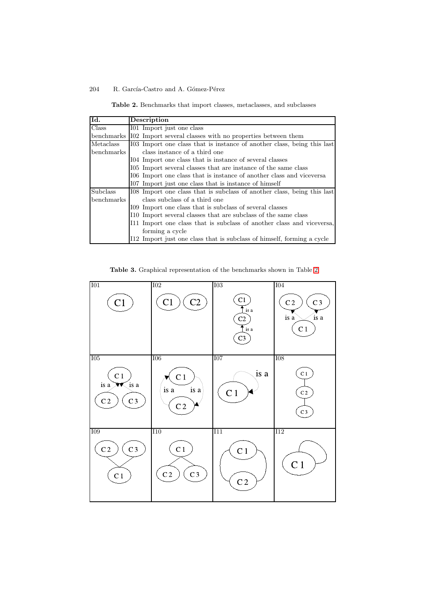**Table 2.** Benchmarks that import classes, metaclasses, and subclasses

<span id="page-5-0"></span>

| Id.             | Description                                                             |
|-----------------|-------------------------------------------------------------------------|
| Class           | I01 Import just one class                                               |
| benchmarks      | 102 Import several classes with no properties between them              |
| Metaclass       | I03 Import one class that is instance of another class, being this last |
| benchmarks      | class instance of a third one                                           |
|                 | 104 Import one class that is instance of several classes                |
|                 | 105 Import several classes that are instance of the same class          |
|                 | 106 Import one class that is instance of another class and viceversa    |
|                 | 107 Import just one class that is instance of himself                   |
| <b>Subclass</b> | 108 Import one class that is subclass of another class, being this last |
| benchmarks      | class subclass of a third one                                           |
|                 | 109 Import one class that is subclass of several classes                |
|                 | I10 Import several classes that are subclass of the same class          |
|                 | I11 Import one class that is subclass of another class and viceversa,   |
|                 | forming a cycle                                                         |
|                 | I12 Import just one class that is subclass of himself, forming a cycle  |

**Table 3.** Graphical representation of the benchmarks shown in Table [2](#page-5-0)

<span id="page-5-1"></span>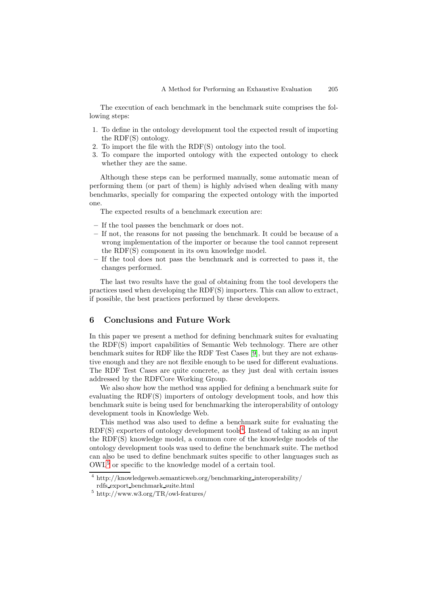The execution of each benchmark in the benchmark suite comprises the following steps:

- 1. To define in the ontology development tool the expected result of importing the RDF(S) ontology.
- 2. To import the file with the RDF(S) ontology into the tool.
- 3. To compare the imported ontology with the expected ontology to check whether they are the same.

Although these steps can be performed manually, some automatic mean of performing them (or part of them) is highly advised when dealing with many benchmarks, specially for comparing the expected ontology with the imported one.

The expected results of a benchmark execution are:

- **–** If the tool passes the benchmark or does not.
- **–** If not, the reasons for not passing the benchmark. It could be because of a wrong implementation of the importer or because the tool cannot represent the RDF(S) component in its own knowledge model.
- **–** If the tool does not pass the benchmark and is corrected to pass it, the changes performed.

The last two results have the goal of obtaining from the tool developers the practices used when developing the RDF(S) importers. This can allow to extract, if possible, the best practices performed by these developers.

### <span id="page-6-0"></span>**6 Conclusions and Future Work**

In this paper we present a method for defining benchmark suites for evaluating the RDF(S) import capabilities of Semantic Web technology. There are other benchmark suites for RDF like the RDF Test Cases [\[9\]](#page-7-9), but they are not exhaustive enough and they are not flexible enough to be used for different evaluations. The RDF Test Cases are quite concrete, as they just deal with certain issues addressed by the RDFCore Working Group.

We also show how the method was applied for defining a benchmark suite for evaluating the RDF(S) importers of ontology development tools, and how this benchmark suite is being used for benchmarking the interoperability of ontology development tools in Knowledge Web.

This method was also used to define a benchmark suite for evaluating the RDF(S) exporters of ontology development tools<sup>[4](#page-6-1)</sup>. Instead of taking as an input the RDF(S) knowledge model, a common core of the knowledge models of the ontology development tools was used to define the benchmark suite. The method can also be used to define benchmark suites specific to other languages such as OWL[5](#page-6-2) or specific to the knowledge model of a certain tool.

 $4 \text{ http://knowledgeweb.semanticweb.org/benchmarking_interestability/$ 

<span id="page-6-1"></span>rdfs export benchmark suite.html

<span id="page-6-2"></span> $5 \text{ http://www.w3.org/TR/owl-features/}$